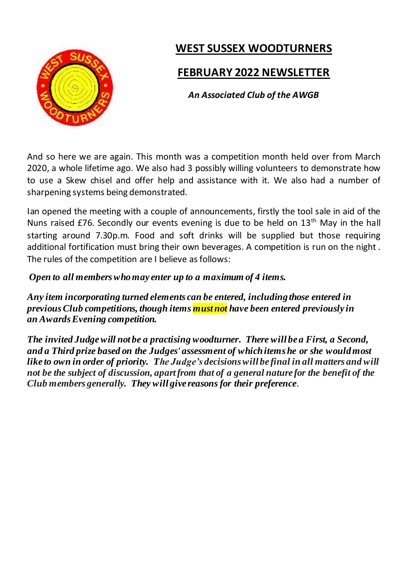

# **WEST SUSSEX WOODTURNERS**

### **FEBRUARY 2022 NEWSLETTER**

*An Associated Club of the AWGB*

And so here we are again. This month was a competition month held over from March 2020, a whole lifetime ago. We also had 3 possibly willing volunteers to demonstrate how to use a Skew chisel and offer help and assistance with it. We also had a number of sharpening systems being demonstrated.

Ian opened the meeting with a couple of announcements, firstly the tool sale in aid of the Nuns raised £76. Secondly our events evening is due to be held on 13<sup>th</sup> May in the hall starting around 7.30p.m. Food and soft drinks will be supplied but those requiring additional fortification must bring their own beverages. A competition is run on the night . The rules of the competition are I believe as follows:

*Open to all members who may enter up to a maximum of 4 items.*

*Any item incorporating turned elements can be entered, including those entered in previous Club competitions, though items must not have been entered previously in an Awards Evening competition.*

*The invited Judge will not be a practising woodturner. There will be a First, a Second, and a Third prize based on the Judges' assessment of which items he or she would most like to own in order of priority. The Judge's decisions will be final in all matters and will not be the subject of discussion, apart from that of a general nature for the benefit of the Club members generally. They will give reasons for their preference.*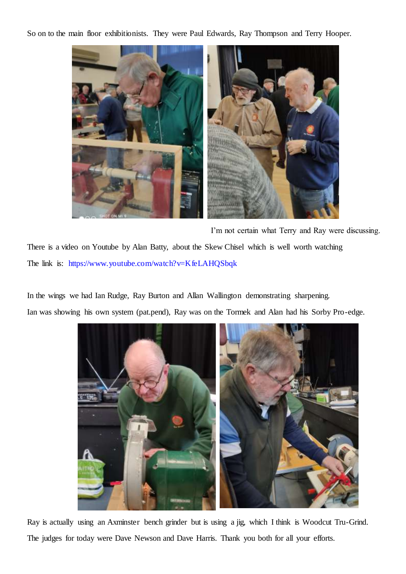So on to the main floor exhibitionists. They were Paul Edwards, Ray Thompson and Terry Hooper.



I'm not certain what Terry and Ray were discussing. There is a video on Youtube by Alan Batty, about the Skew Chisel which is well worth watching The link is: https://www.youtube.com/watch?v=KfeLAHQSbqk

In the wings we had Ian Rudge, Ray Burton and Allan Wallington demonstrating sharpening. Ian was showing his own system (pat.pend), Ray was on the Tormek and Alan had his Sorby Pro-edge.



Ray is actually using an Axminster bench grinder but is using a jig, which I think is Woodcut Tru-Grind. The judges for today were Dave Newson and Dave Harris. Thank you both for all your efforts.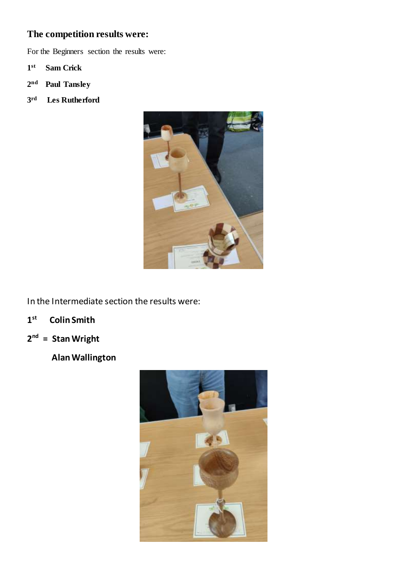### **The competition results were:**

For the Beginners section the results were:

- **1 st Sam Crick**
- **2 nd Paul Tansley**
- **3 rd Les Rutherford**



In the Intermediate section the results were:

- **1 st Colin Smith**
- **2 nd = Stan Wright**
	- **Alan Wallington**

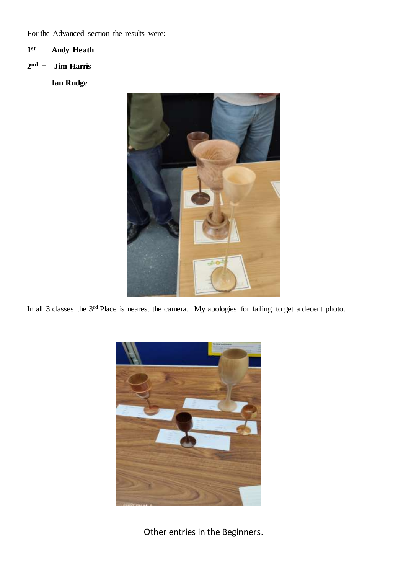For the Advanced section the results were:

#### **1 st Andy Heath**

**2 nd = Jim Harris**

**Ian Rudge**



In all 3 classes the 3<sup>rd</sup> Place is nearest the camera. My apologies for failing to get a decent photo.



Other entries in the Beginners.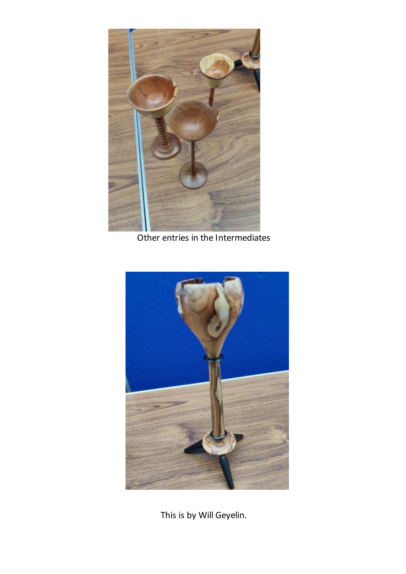

Other entries in the Intermediates



This is by Will Geyelin.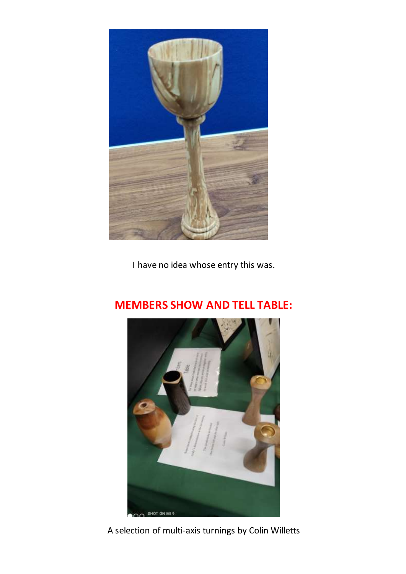

I have no idea whose entry this was.



## **MEMBERS SHOW AND TELL TABLE:**

A selection of multi-axis turnings by Colin Willetts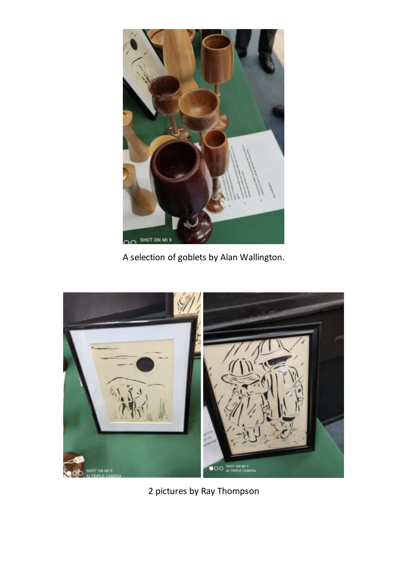

A selection of goblets by Alan Wallington.



2 pictures by Ray Thompson